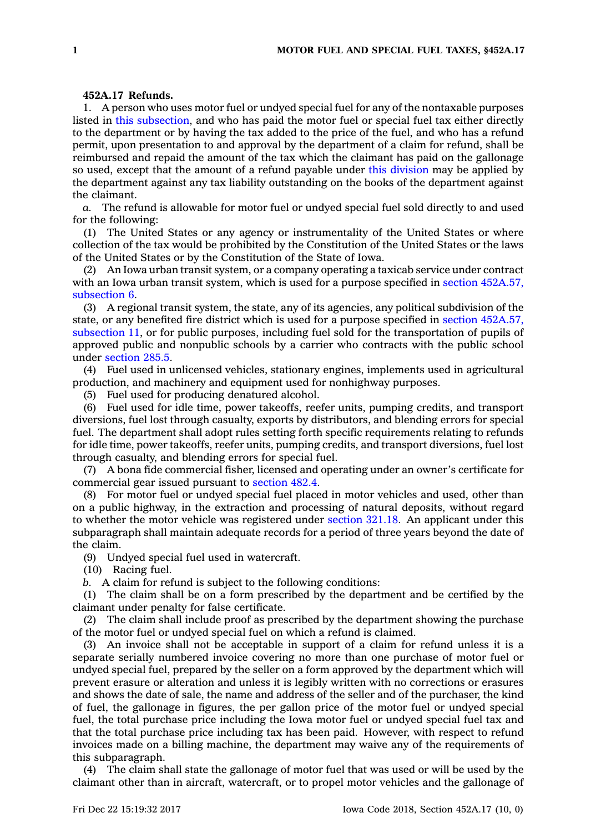## **452A.17 Refunds.**

1. A person who uses motor fuel or undyed special fuel for any of the nontaxable purposes listed in this [subsection](https://www.legis.iowa.gov/docs/code/452A.17.pdf), and who has paid the motor fuel or special fuel tax either directly to the department or by having the tax added to the price of the fuel, and who has <sup>a</sup> refund permit, upon presentation to and approval by the department of <sup>a</sup> claim for refund, shall be reimbursed and repaid the amount of the tax which the claimant has paid on the gallonage so used, except that the amount of <sup>a</sup> refund payable under this [division](https://www.legis.iowa.gov/docs/code//452A.pdf) may be applied by the department against any tax liability outstanding on the books of the department against the claimant.

*a.* The refund is allowable for motor fuel or undyed special fuel sold directly to and used for the following:

(1) The United States or any agency or instrumentality of the United States or where collection of the tax would be prohibited by the Constitution of the United States or the laws of the United States or by the Constitution of the State of Iowa.

(2) An Iowa urban transit system, or <sup>a</sup> company operating <sup>a</sup> taxicab service under contract with an Iowa urban transit system, which is used for a purpose specified in section [452A.57,](https://www.legis.iowa.gov/docs/code/452A.57.pdf) [subsection](https://www.legis.iowa.gov/docs/code/452A.57.pdf) 6.

(3) A regional transit system, the state, any of its agencies, any political subdivision of the state, or any benefited fire district which is used for <sup>a</sup> purpose specified in section [452A.57,](https://www.legis.iowa.gov/docs/code/452A.57.pdf) [subsection](https://www.legis.iowa.gov/docs/code/452A.57.pdf) 11, or for public purposes, including fuel sold for the transportation of pupils of approved public and nonpublic schools by <sup>a</sup> carrier who contracts with the public school under [section](https://www.legis.iowa.gov/docs/code/285.5.pdf) 285.5.

(4) Fuel used in unlicensed vehicles, stationary engines, implements used in agricultural production, and machinery and equipment used for nonhighway purposes.

(5) Fuel used for producing denatured alcohol.

(6) Fuel used for idle time, power takeoffs, reefer units, pumping credits, and transport diversions, fuel lost through casualty, exports by distributors, and blending errors for special fuel. The department shall adopt rules setting forth specific requirements relating to refunds for idle time, power takeoffs, reefer units, pumping credits, and transport diversions, fuel lost through casualty, and blending errors for special fuel.

(7) A bona fide commercial fisher, licensed and operating under an owner's certificate for commercial gear issued pursuant to [section](https://www.legis.iowa.gov/docs/code/482.4.pdf) 482.4.

(8) For motor fuel or undyed special fuel placed in motor vehicles and used, other than on <sup>a</sup> public highway, in the extraction and processing of natural deposits, without regard to whether the motor vehicle was registered under [section](https://www.legis.iowa.gov/docs/code/321.18.pdf) 321.18. An applicant under this subparagraph shall maintain adequate records for <sup>a</sup> period of three years beyond the date of the claim.

(9) Undyed special fuel used in watercraft.

(10) Racing fuel.

*b.* A claim for refund is subject to the following conditions:

(1) The claim shall be on <sup>a</sup> form prescribed by the department and be certified by the claimant under penalty for false certificate.

(2) The claim shall include proof as prescribed by the department showing the purchase of the motor fuel or undyed special fuel on which <sup>a</sup> refund is claimed.

(3) An invoice shall not be acceptable in support of <sup>a</sup> claim for refund unless it is <sup>a</sup> separate serially numbered invoice covering no more than one purchase of motor fuel or undyed special fuel, prepared by the seller on <sup>a</sup> form approved by the department which will prevent erasure or alteration and unless it is legibly written with no corrections or erasures and shows the date of sale, the name and address of the seller and of the purchaser, the kind of fuel, the gallonage in figures, the per gallon price of the motor fuel or undyed special fuel, the total purchase price including the Iowa motor fuel or undyed special fuel tax and that the total purchase price including tax has been paid. However, with respect to refund invoices made on <sup>a</sup> billing machine, the department may waive any of the requirements of this subparagraph.

(4) The claim shall state the gallonage of motor fuel that was used or will be used by the claimant other than in aircraft, watercraft, or to propel motor vehicles and the gallonage of